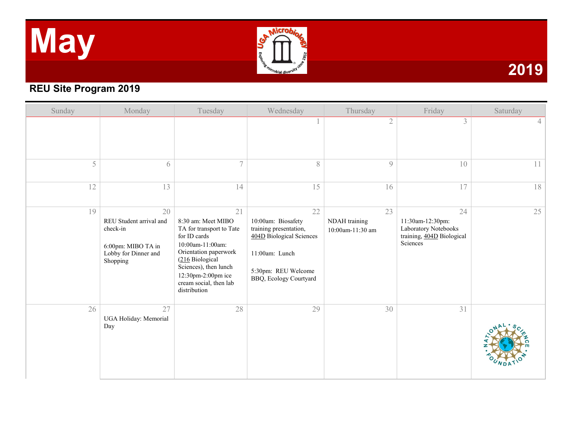# **May**



### **2019**

#### **REU Site Program 2019**

| Sunday | Monday                                                                                              | Tuesday                                                                                                                                                                                                                       | Wednesday                                                                                                                                         | Thursday                                | Friday                                                                                  | Saturday       |
|--------|-----------------------------------------------------------------------------------------------------|-------------------------------------------------------------------------------------------------------------------------------------------------------------------------------------------------------------------------------|---------------------------------------------------------------------------------------------------------------------------------------------------|-----------------------------------------|-----------------------------------------------------------------------------------------|----------------|
|        |                                                                                                     |                                                                                                                                                                                                                               |                                                                                                                                                   | $\mathfrak{2}$                          | $\overline{\mathcal{E}}$                                                                | 4 <sup>1</sup> |
| 5      | 6                                                                                                   | $\tau$                                                                                                                                                                                                                        | 8                                                                                                                                                 | $\mathcal{G}$                           | 10                                                                                      | 11             |
| 12     | 13                                                                                                  | 14                                                                                                                                                                                                                            | 15                                                                                                                                                | 16                                      | 17                                                                                      | 18             |
| 19     | 20<br>REU Student arrival and<br>check-in<br>6:00pm: MIBO TA in<br>Lobby for Dinner and<br>Shopping | 21<br>8:30 am: Meet MIBO<br>TA for transport to Tate<br>for ID cards<br>10:00am-11:00am:<br>Orientation paperwork<br>(216 Biological<br>Sciences), then lunch<br>12:30pm-2:00pm ice<br>cream social, then lab<br>distribution | 22<br>10:00am: Biosafety<br>training presentation,<br>404D Biological Sciences<br>11:00am: Lunch<br>5:30pm: REU Welcome<br>BBQ, Ecology Courtyard | 23<br>NDAH training<br>10:00am-11:30 am | 24<br>11:30am-12:30pm:<br>Laboratory Notebooks<br>training, 404D Biological<br>Sciences | 25             |
| 26     | 27<br>UGA Holiday: Memorial<br>Day                                                                  | 28                                                                                                                                                                                                                            | 29                                                                                                                                                | 30                                      | 31                                                                                      |                |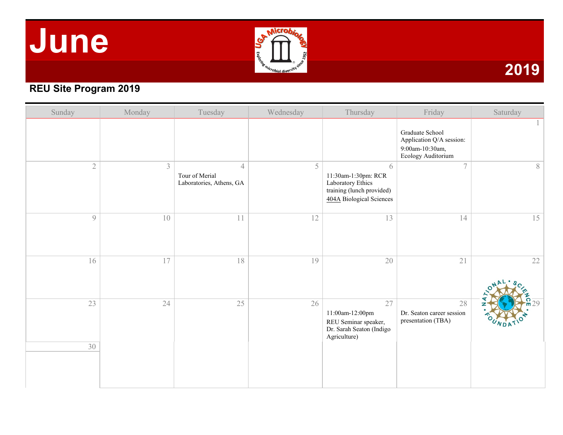## **June**



#### **REU Site Program 2019**

| Sunday         | Monday         | Tuesday                                                      | Wednesday | Thursday                                                                                               | Friday                                                                               | Saturday |
|----------------|----------------|--------------------------------------------------------------|-----------|--------------------------------------------------------------------------------------------------------|--------------------------------------------------------------------------------------|----------|
|                |                |                                                              |           |                                                                                                        | Graduate School<br>Application Q/A session:<br>9:00am-10:30am,<br>Ecology Auditorium |          |
| $\overline{2}$ | $\mathfrak{Z}$ | $\overline{4}$<br>Tour of Merial<br>Laboratories, Athens, GA | 5         | 6<br>11:30am-1:30pm: RCR<br>Laboratory Ethics<br>training (lunch provided)<br>404A Biological Sciences | $\overline{7}$                                                                       | 8        |
| $\overline{9}$ | 10             | 11                                                           | 12        | 13                                                                                                     | 14                                                                                   | 15       |
| 16             | 17             | 18                                                           | 19        | $20\,$                                                                                                 | 21                                                                                   | 22       |
| 23<br>30       | 24             | 25                                                           | 26        | 27<br>11:00am-12:00pm<br>REU Seminar speaker,<br>Dr. Sarah Seaton (Indigo<br>Agriculture)              | 28<br>Dr. Seaton career session<br>presentation (TBA)                                | 29       |
|                |                |                                                              |           |                                                                                                        |                                                                                      |          |

**2019**